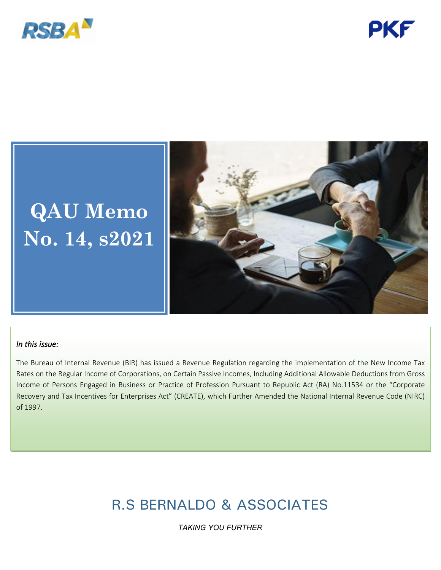







# *In this issue:*

The Bureau of Internal Revenue (BIR) has issued a Revenue Regulation regarding the implementation of the New Income Tax Rates on the Regular Income of Corporations, on Certain Passive Incomes, Including Additional Allowable Deductions from Gross Income of Persons Engaged in Business or Practice of Profession Pursuant to Republic Act (RA) No.11534 or the "Corporate Recovery and Tax Incentives for Enterprises Act" (CREATE), which Further Amended the National Internal Revenue Code (NIRC) of 1997.

# R.S BERNALDO & ASSOCIATES

*TAKING YOU FURTHER*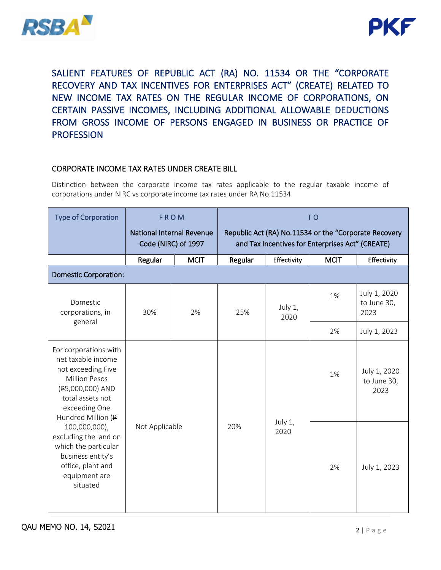



SALIENT FEATURES OF REPUBLIC ACT (RA) NO. 11534 OR THE "CORPORATE RECOVERY AND TAX INCENTIVES FOR ENTERPRISES ACT" (CREATE) RELATED TO NEW INCOME TAX RATES ON THE REGULAR INCOME OF CORPORATIONS, ON CERTAIN PASSIVE INCOMES, INCLUDING ADDITIONAL ALLOWABLE DEDUCTIONS FROM GROSS INCOME OF PERSONS ENGAGED IN BUSINESS OR PRACTICE OF **PROFESSION** 

#### CORPORATE INCOME TAX RATES UNDER CREATE BILL

Distinction between the corporate income tax rates applicable to the regular taxable income of corporations under NIRC vs corporate income tax rates under RA No.11534

| <b>Type of Corporation</b>                                                                                                                                               |                | <b>FROM</b><br><b>National Internal Revenue</b> |                                                                                                           |                 | T O         |                                     |
|--------------------------------------------------------------------------------------------------------------------------------------------------------------------------|----------------|-------------------------------------------------|-----------------------------------------------------------------------------------------------------------|-----------------|-------------|-------------------------------------|
|                                                                                                                                                                          |                | Code (NIRC) of 1997                             | Republic Act (RA) No.11534 or the "Corporate Recovery<br>and Tax Incentives for Enterprises Act" (CREATE) |                 |             |                                     |
|                                                                                                                                                                          | Regular        | <b>MCIT</b>                                     | Regular                                                                                                   | Effectivity     | <b>MCIT</b> | Effectivity                         |
| <b>Domestic Corporation:</b>                                                                                                                                             |                |                                                 |                                                                                                           |                 |             |                                     |
| Domestic<br>corporations, in<br>general                                                                                                                                  | 30%            | 2%                                              | 25%                                                                                                       | July 1,<br>2020 | 1%          | July 1, 2020<br>to June 30,<br>2023 |
|                                                                                                                                                                          |                |                                                 |                                                                                                           |                 | 2%          | July 1, 2023                        |
| For corporations with<br>net taxable income<br>not exceeding Five<br><b>Million Pesos</b><br>(P5,000,000) AND<br>total assets not<br>exceeding One<br>Hundred Million (P |                |                                                 |                                                                                                           |                 | 1%          | July 1, 2020<br>to June 30,<br>2023 |
| 100,000,000),<br>excluding the land on<br>which the particular<br>business entity's<br>office, plant and<br>equipment are<br>situated                                    | Not Applicable |                                                 | 20%                                                                                                       | July 1,<br>2020 | 2%          | July 1, 2023                        |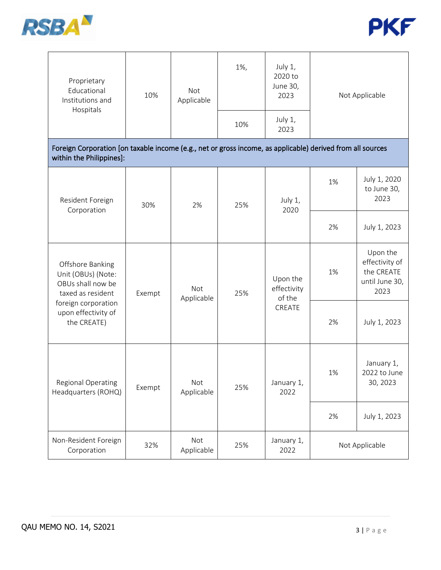



| Proprietary<br>Educational<br>Institutions and<br>Hospitals                                                                            | 10%    | Not<br>Applicable | 1%,<br>10%       | July 1,<br>2020 to<br>June 30,<br>2023<br>July 1,<br>2023 |              | Not Applicable                                                     |
|----------------------------------------------------------------------------------------------------------------------------------------|--------|-------------------|------------------|-----------------------------------------------------------|--------------|--------------------------------------------------------------------|
| Foreign Corporation [on taxable income (e.g., net or gross income, as applicable) derived from all sources<br>within the Philippines]: |        |                   |                  |                                                           |              |                                                                    |
| Resident Foreign<br>Corporation                                                                                                        | 30%    | 2%                | 25%              | July 1,                                                   | 1%           | July 1, 2020<br>to June 30,<br>2023                                |
|                                                                                                                                        |        |                   | 2020<br>Upon the | 2%                                                        | July 1, 2023 |                                                                    |
| Offshore Banking<br>Unit (OBUs) (Note:<br>OBUs shall now be<br>taxed as resident                                                       | Exempt | Not<br>Applicable | 25%              | effectivity<br>of the                                     | 1%           | Upon the<br>effectivity of<br>the CREATE<br>until June 30,<br>2023 |
| foreign corporation<br>upon effectivity of<br>the CREATE)                                                                              |        |                   |                  | CREATE                                                    | 2%           | July 1, 2023                                                       |
| Regional Operating<br>Headquarters (ROHQ)                                                                                              | Exempt | Not<br>Applicable | 25%              | January 1,<br>2022                                        | 1%           | January 1,<br>2022 to June<br>30, 2023                             |
|                                                                                                                                        |        |                   |                  |                                                           | 2%           | July 1, 2023                                                       |
| Non-Resident Foreign<br>Corporation                                                                                                    | 32%    | Not<br>Applicable | 25%              | January 1,<br>2022                                        |              | Not Applicable                                                     |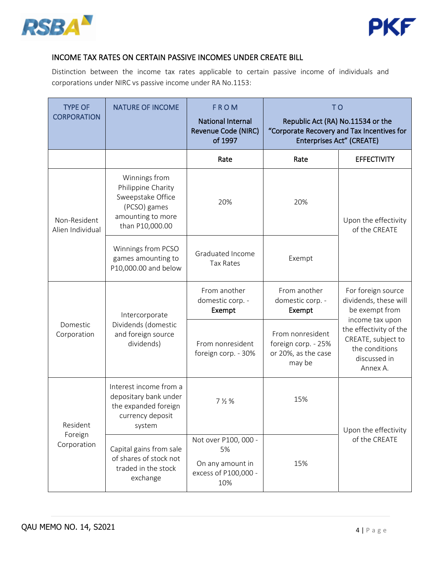



# INCOME TAX RATES ON CERTAIN PASSIVE INCOMES UNDER CREATE BILL

Distinction between the income tax rates applicable to certain passive income of individuals and corporations under NIRC vs passive income under RA No.1153:

| <b>TYPE OF</b><br><b>CORPORATION</b>                                                                                                                 | <b>NATURE OF INCOME</b>                                                                               | <b>FROM</b><br><b>National Internal</b><br><b>Revenue Code (NIRC)</b><br>of 1997 | T <sub>O</sub><br>Republic Act (RA) No.11534 or the<br>"Corporate Recovery and Tax Incentives for<br><b>Enterprises Act" (CREATE)</b> |                                                                                                               |  |
|------------------------------------------------------------------------------------------------------------------------------------------------------|-------------------------------------------------------------------------------------------------------|----------------------------------------------------------------------------------|---------------------------------------------------------------------------------------------------------------------------------------|---------------------------------------------------------------------------------------------------------------|--|
|                                                                                                                                                      |                                                                                                       | Rate                                                                             | Rate                                                                                                                                  | <b>EFFECTIVITY</b>                                                                                            |  |
| Winnings from<br>Philippine Charity<br>Sweepstake Office<br>(PCSO) games<br>amounting to more<br>Non-Resident<br>than P10,000.00<br>Alien Individual |                                                                                                       | 20%                                                                              | 20%                                                                                                                                   | Upon the effectivity<br>of the CREATE                                                                         |  |
|                                                                                                                                                      | Winnings from PCSO<br>games amounting to<br>P10,000.00 and below                                      | Graduated Income<br>Tax Rates                                                    | Exempt                                                                                                                                |                                                                                                               |  |
|                                                                                                                                                      | Intercorporate                                                                                        | From another<br>domestic corp. -<br>Exempt                                       | From another<br>domestic corp. -<br>Exempt                                                                                            | For foreign source<br>dividends, these will<br>be exempt from                                                 |  |
| Domestic<br>Corporation                                                                                                                              | Dividends (domestic<br>and foreign source<br>dividends)                                               | From nonresident<br>foreign corp. - 30%                                          | From nonresident<br>foreign corp. - 25%<br>or 20%, as the case<br>may be                                                              | income tax upon<br>the effectivity of the<br>CREATE, subject to<br>the conditions<br>discussed in<br>Annex A. |  |
| Resident                                                                                                                                             | Interest income from a<br>depositary bank under<br>the expanded foreign<br>currency deposit<br>system | $7\frac{1}{2}\%$                                                                 | 15%                                                                                                                                   | Upon the effectivity                                                                                          |  |
| Foreign<br>Corporation                                                                                                                               | Capital gains from sale<br>of shares of stock not<br>traded in the stock<br>exchange                  | Not over P100, 000 -<br>5%<br>On any amount in<br>excess of P100,000 -<br>10%    | 15%                                                                                                                                   | of the CREATE                                                                                                 |  |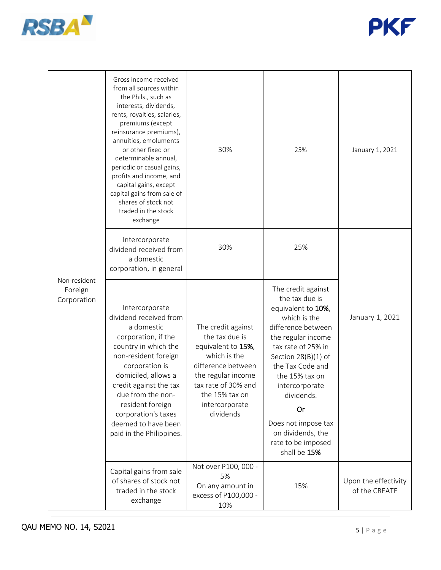



|                                        | Gross income received<br>from all sources within<br>the Phils., such as<br>interests, dividends,<br>rents, royalties, salaries,<br>premiums (except<br>reinsurance premiums),<br>annuities, emoluments<br>or other fixed or<br>determinable annual,<br>periodic or casual gains,<br>profits and income, and<br>capital gains, except<br>capital gains from sale of<br>shares of stock not<br>traded in the stock<br>exchange | 30%                                                                                                                                                                                            | 25%                                                                                                                                                                                                                                                                                                                                 | January 1, 2021                       |
|----------------------------------------|------------------------------------------------------------------------------------------------------------------------------------------------------------------------------------------------------------------------------------------------------------------------------------------------------------------------------------------------------------------------------------------------------------------------------|------------------------------------------------------------------------------------------------------------------------------------------------------------------------------------------------|-------------------------------------------------------------------------------------------------------------------------------------------------------------------------------------------------------------------------------------------------------------------------------------------------------------------------------------|---------------------------------------|
|                                        | Intercorporate<br>dividend received from<br>a domestic<br>corporation, in general                                                                                                                                                                                                                                                                                                                                            | 30%                                                                                                                                                                                            | 25%                                                                                                                                                                                                                                                                                                                                 |                                       |
| Non-resident<br>Foreign<br>Corporation | Intercorporate<br>dividend received from<br>a domestic<br>corporation, if the<br>country in which the<br>non-resident foreign<br>corporation is<br>domiciled, allows a<br>credit against the tax<br>due from the non-<br>resident foreign<br>corporation's taxes<br>deemed to have been<br>paid in the Philippines.                                                                                                          | The credit against<br>the tax due is<br>equivalent to 15%,<br>which is the<br>difference between<br>the regular income<br>tax rate of 30% and<br>the 15% tax on<br>intercorporate<br>dividends | The credit against<br>the tax due is<br>equivalent to 10%,<br>which is the<br>difference between<br>the regular income<br>tax rate of 25% in<br>Section $28(B)(1)$ of<br>the Tax Code and<br>the 15% tax on<br>intercorporate<br>dividends.<br>Or<br>Does not impose tax<br>on dividends, the<br>rate to be imposed<br>shall be 15% | January 1, 2021                       |
|                                        | Capital gains from sale<br>of shares of stock not<br>traded in the stock<br>exchange                                                                                                                                                                                                                                                                                                                                         | Not over P100, 000 -<br>5%<br>On any amount in<br>excess of P100,000 -<br>10%                                                                                                                  | 15%                                                                                                                                                                                                                                                                                                                                 | Upon the effectivity<br>of the CREATE |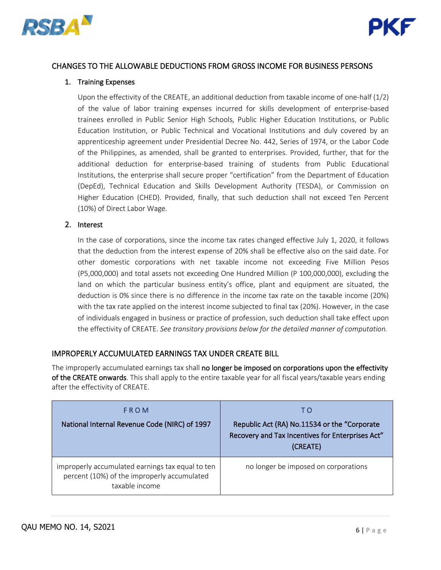



# CHANGES TO THE ALLOWABLE DEDUCTIONS FROM GROSS INCOME FOR BUSINESS PERSONS

#### 1. Training Expenses

Upon the effectivity of the CREATE, an additional deduction from taxable income of one-half (1/2) of the value of labor training expenses incurred for skills development of enterprise-based trainees enrolled in Public Senior High Schools, Public Higher Education Institutions, or Public Education Institution, or Public Technical and Vocational Institutions and duly covered by an apprenticeship agreement under Presidential Decree No. 442, Series of 1974, or the Labor Code of the Philippines, as amended, shall be granted to enterprises. Provided, further, that for the additional deduction for enterprise-based training of students from Public Educational Institutions, the enterprise shall secure proper "certification" from the Department of Education (DepEd), Technical Education and Skills Development Authority (TESDA), or Commission on Higher Education (CHED). Provided, finally, that such deduction shall not exceed Ten Percent (10%) of Direct Labor Wage.

#### 2. Interest

In the case of corporations, since the income tax rates changed effective July 1, 2020, it follows that the deduction from the interest expense of 20% shall be effective also on the said date. For other domestic corporations with net taxable income not exceeding Five Million Pesos (P5,000,000) and total assets not exceeding One Hundred Million (P 100,000,000), excluding the land on which the particular business entity's office, plant and equipment are situated, the deduction is 0% since there is no difference in the income tax rate on the taxable income (20%) with the tax rate applied on the interest income subjected to final tax (20%). However, in the case of individuals engaged in business or practice of profession, such deduction shall take effect upon the effectivity of CREATE. *See transitory provisions below for the detailed manner of computation.* 

# IMPROPERLY ACCUMULATED EARNINGS TAX UNDER CREATE BILL

The improperly accumulated earnings tax shall no longer be imposed on corporations upon the effectivity of the CREATE onwards. This shall apply to the entire taxable year for all fiscal years/taxable years ending after the effectivity of CREATE.

| <b>FROM</b><br>National Internal Revenue Code (NIRC) of 1997                                                      | T O<br>Republic Act (RA) No.11534 or the "Corporate<br>Recovery and Tax Incentives for Enterprises Act"<br>(CREATE) |
|-------------------------------------------------------------------------------------------------------------------|---------------------------------------------------------------------------------------------------------------------|
| improperly accumulated earnings tax equal to ten<br>percent (10%) of the improperly accumulated<br>taxable income | no longer be imposed on corporations                                                                                |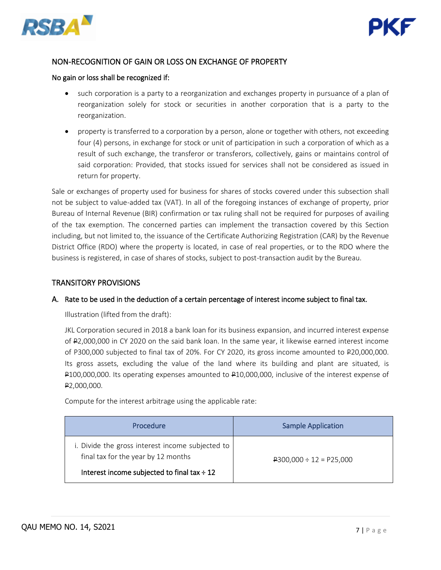



# NON-RECOGNITION OF GAIN OR LOSS ON EXCHANGE OF PROPERTY

#### No gain or loss shall be recognized if:

- such corporation is a party to a reorganization and exchanges property in pursuance of a plan of reorganization solely for stock or securities in another corporation that is a party to the reorganization.
- property is transferred to a corporation by a person, alone or together with others, not exceeding four (4) persons, in exchange for stock or unit of participation in such a corporation of which as a result of such exchange, the transferor or transferors, collectively, gains or maintains control of said corporation: Provided, that stocks issued for services shall not be considered as issued in return for property.

Sale or exchanges of property used for business for shares of stocks covered under this subsection shall not be subject to value-added tax (VAT). In all of the foregoing instances of exchange of property, prior Bureau of Internal Revenue (BIR) confirmation or tax ruling shall not be required for purposes of availing of the tax exemption. The concerned parties can implement the transaction covered by this Section including, but not limited to, the issuance of the Certificate Authorizing Registration (CAR) by the Revenue District Office (RDO) where the property is located, in case of real properties, or to the RDO where the business is registered, in case of shares of stocks, subject to post-transaction audit by the Bureau.

#### TRANSITORY PROVISIONS

#### A. Rate to be used in the deduction of a certain percentage of interest income subject to final tax.

Illustration (lifted from the draft):

JKL Corporation secured in 2018 a bank loan for its business expansion, and incurred interest expense of P2,000,000 in CY 2020 on the said bank loan. In the same year, it likewise earned interest income of P300,000 subjected to final tax of 20%. For CY 2020, its gross income amounted to P20,000,000. Its gross assets, excluding the value of the land where its building and plant are situated, is P100,000,000. Its operating expenses amounted to P10,000,000, inclusive of the interest expense of P2,000,000.

Compute for the interest arbitrage using the applicable rate:

| <b>Procedure</b>                                                                        | <b>Sample Application</b>    |
|-----------------------------------------------------------------------------------------|------------------------------|
| i. Divide the gross interest income subjected to<br>final tax for the year by 12 months | $P300,000 \div 12 = P25,000$ |
| Interest income subjected to final tax $\div$ 12                                        |                              |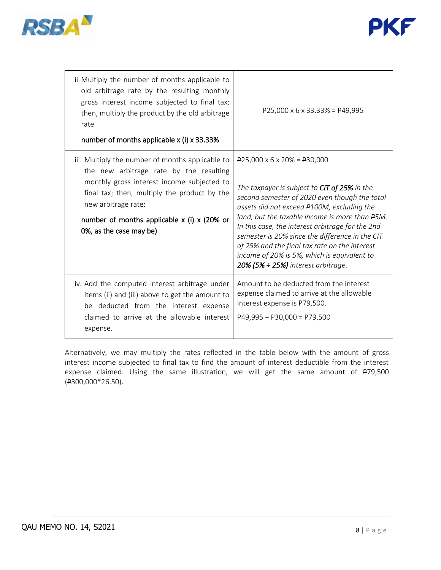



| ii. Multiply the number of months applicable to<br>old arbitrage rate by the resulting monthly<br>gross interest income subjected to final tax;<br>then, multiply the product by the old arbitrage<br>rate<br>number of months applicable x (i) x 33.33%                                       | $P25,000 \times 6 \times 33.33\% = P49,995$                                                                                                                                                                                                                                                                                                                                                                                                                                               |
|------------------------------------------------------------------------------------------------------------------------------------------------------------------------------------------------------------------------------------------------------------------------------------------------|-------------------------------------------------------------------------------------------------------------------------------------------------------------------------------------------------------------------------------------------------------------------------------------------------------------------------------------------------------------------------------------------------------------------------------------------------------------------------------------------|
| iii. Multiply the number of months applicable to<br>the new arbitrage rate by the resulting<br>monthly gross interest income subjected to<br>final tax; then, multiply the product by the<br>new arbitrage rate:<br>number of months applicable $x$ (i) $x$ (20% or<br>0%, as the case may be) | $P25,000 \times 6 \times 20\% = P30,000$<br>The taxpayer is subject to CIT of 25% in the<br>second semester of 2020 even though the total<br>assets did not exceed P100M, excluding the<br>land, but the taxable income is more than P5M.<br>In this case, the interest arbitrage for the 2nd<br>semester is 20% since the difference in the CIT<br>of 25% and the final tax rate on the interest<br>income of 20% is 5%, which is equivalent to<br>$20\%$ (5% ÷ 25%) interest arbitrage. |
| iv. Add the computed interest arbitrage under<br>items (ii) and (iii) above to get the amount to<br>be deducted from the interest expense<br>claimed to arrive at the allowable interest<br>expense.                                                                                           | Amount to be deducted from the interest<br>expense claimed to arrive at the allowable<br>interest expense is P79,500.<br>$P49,995 + P30,000 = P79,500$                                                                                                                                                                                                                                                                                                                                    |

Alternatively, we may multiply the rates reflected in the table below with the amount of gross interest income subjected to final tax to find the amount of interest deductible from the interest expense claimed. Using the same illustration, we will get the same amount of P79,500 (P300,000\*26.50).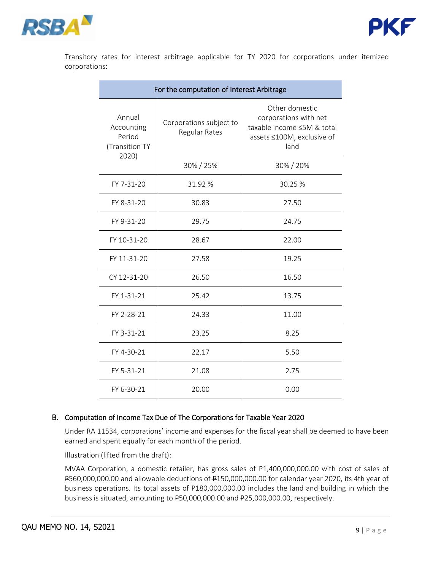



Transitory rates for interest arbitrage applicable for TY 2020 for corporations under itemized corporations:

| For the computation of Interest Arbitrage        |                                                 |                                                                                                             |  |  |
|--------------------------------------------------|-------------------------------------------------|-------------------------------------------------------------------------------------------------------------|--|--|
| Annual<br>Accounting<br>Period<br>(Transition TY | Corporations subject to<br><b>Regular Rates</b> | Other domestic<br>corporations with net<br>taxable income ≤5M & total<br>assets ≤100M, exclusive of<br>land |  |  |
| 2020)                                            | 30% / 25%                                       | 30% / 20%                                                                                                   |  |  |
| FY 7-31-20                                       | 31.92 %                                         | 30.25 %                                                                                                     |  |  |
| FY 8-31-20                                       | 30.83                                           | 27.50                                                                                                       |  |  |
| FY 9-31-20                                       | 29.75                                           | 24.75                                                                                                       |  |  |
| FY 10-31-20                                      | 28.67                                           | 22.00                                                                                                       |  |  |
| FY 11-31-20                                      | 27.58                                           | 19.25                                                                                                       |  |  |
| CY 12-31-20                                      | 26.50                                           | 16.50                                                                                                       |  |  |
| FY 1-31-21                                       | 25.42                                           | 13.75                                                                                                       |  |  |
| FY 2-28-21                                       | 24.33                                           | 11.00                                                                                                       |  |  |
| FY 3-31-21                                       | 23.25                                           | 8.25                                                                                                        |  |  |
| FY 4-30-21                                       | 22.17                                           | 5.50                                                                                                        |  |  |
| FY 5-31-21                                       | 21.08                                           | 2.75                                                                                                        |  |  |
| FY 6-30-21                                       | 20.00                                           | 0.00                                                                                                        |  |  |

# B. Computation of Income Tax Due of The Corporations for Taxable Year 2020

Under RA 11534, corporations' income and expenses for the fiscal year shall be deemed to have been earned and spent equally for each month of the period.

Illustration (lifted from the draft):

MVAA Corporation, a domestic retailer, has gross sales of P1,400,000,000.00 with cost of sales of P560,000,000.00 and allowable deductions of P150,000,000.00 for calendar year 2020, its 4th year of business operations. Its total assets of P180,000,000.00 includes the land and building in which the business is situated, amounting to P50,000,000.00 and P25,000,000.00, respectively.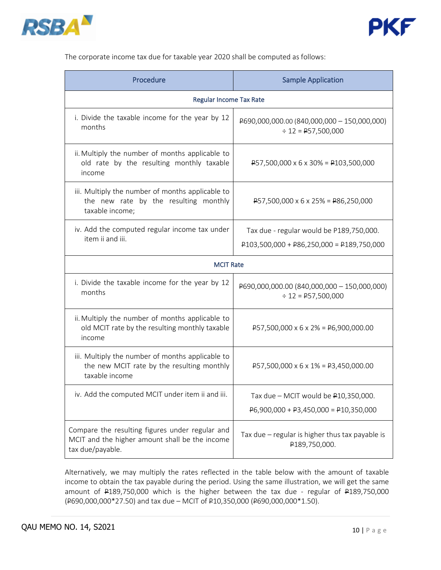



The corporate income tax due for taxable year 2020 shall be computed as follows:

| Procedure                                                                                                             | <b>Sample Application</b>                                              |  |
|-----------------------------------------------------------------------------------------------------------------------|------------------------------------------------------------------------|--|
| <b>Regular Income Tax Rate</b>                                                                                        |                                                                        |  |
| i. Divide the taxable income for the year by 12<br>months                                                             | P690,000,000.00 (840,000,000 - 150,000,000)<br>$\div$ 12 = P57,500,000 |  |
| ii. Multiply the number of months applicable to<br>old rate by the resulting monthly taxable<br>income                | $P57,500,000 \times 6 \times 30\% = P103,500,000$                      |  |
| iii. Multiply the number of months applicable to<br>the new rate by the resulting monthly<br>taxable income;          | $P57,500,000 \times 6 \times 25\% = P86,250,000$                       |  |
| iv. Add the computed regular income tax under                                                                         | Tax due - regular would be P189,750,000.                               |  |
| item ii and iii.                                                                                                      | $P103,500,000 + P86,250,000 = P189,750,000$                            |  |
| <b>MCIT Rate</b>                                                                                                      |                                                                        |  |
| i. Divide the taxable income for the year by 12<br>months                                                             | P690,000,000.00 (840,000,000 - 150,000,000)<br>$\div$ 12 = P57,500,000 |  |
| ii. Multiply the number of months applicable to<br>old MCIT rate by the resulting monthly taxable<br>income           | $P57,500,000 \times 6 \times 2\% = P6,900,000.00$                      |  |
| iii. Multiply the number of months applicable to<br>the new MCIT rate by the resulting monthly<br>taxable income      | $P57,500,000 \times 6 \times 1\% = P3,450,000.00$                      |  |
| iv. Add the computed MCIT under item ii and iii.                                                                      | Tax due - MCIT would be P10,350,000.                                   |  |
|                                                                                                                       | $P6,900,000 + P3,450,000 = P10,350,000$                                |  |
| Compare the resulting figures under regular and<br>MCIT and the higher amount shall be the income<br>tax due/payable. | Tax due $-$ regular is higher thus tax payable is<br>P189,750,000.     |  |

Alternatively, we may multiply the rates reflected in the table below with the amount of taxable income to obtain the tax payable during the period. Using the same illustration, we will get the same amount of P189,750,000 which is the higher between the tax due - regular of P189,750,000 (P690,000,000\*27.50) and tax due – MCIT of P10,350,000 (P690,000,000\*1.50).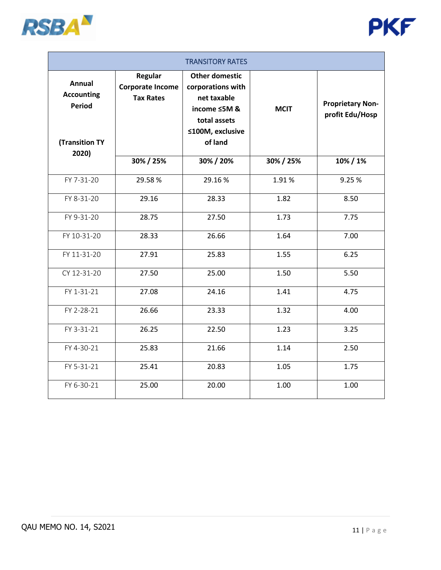



| <b>TRANSITORY RATES</b>                                                               |                                                               |                                                                                                                          |             |                                            |
|---------------------------------------------------------------------------------------|---------------------------------------------------------------|--------------------------------------------------------------------------------------------------------------------------|-------------|--------------------------------------------|
| <b>Annual</b><br><b>Accounting</b><br><b>Period</b><br><b>(Transition TY</b><br>2020) | <b>Regular</b><br><b>Corporate Income</b><br><b>Tax Rates</b> | <b>Other domestic</b><br>corporations with<br>net taxable<br>income ≤5M &<br>total assets<br>≤100M, exclusive<br>of land | <b>MCIT</b> | <b>Proprietary Non-</b><br>profit Edu/Hosp |
|                                                                                       | 30% / 25%                                                     | 30% / 20%                                                                                                                | 30% / 25%   | 10% / 1%                                   |
| FY 7-31-20                                                                            | 29.58%                                                        | 29.16%                                                                                                                   | 1.91%       | 9.25%                                      |
| FY 8-31-20                                                                            | 29.16                                                         | 28.33                                                                                                                    | 1.82        | 8.50                                       |
| FY 9-31-20                                                                            | 28.75                                                         | 27.50                                                                                                                    | 1.73        | 7.75                                       |
| FY 10-31-20                                                                           | 28.33                                                         | 26.66                                                                                                                    | 1.64        | 7.00                                       |
| FY 11-31-20                                                                           | 27.91                                                         | 25.83                                                                                                                    | 1.55        | 6.25                                       |
| CY 12-31-20                                                                           | 27.50                                                         | 25.00                                                                                                                    | 1.50        | 5.50                                       |
| FY 1-31-21                                                                            | 27.08                                                         | 24.16                                                                                                                    | 1.41        | 4.75                                       |
| FY 2-28-21                                                                            | 26.66                                                         | 23.33                                                                                                                    | 1.32        | 4.00                                       |
| FY 3-31-21                                                                            | 26.25                                                         | 22.50                                                                                                                    | 1.23        | 3.25                                       |
| FY 4-30-21                                                                            | 25.83                                                         | 21.66                                                                                                                    | 1.14        | 2.50                                       |
| FY 5-31-21                                                                            | 25.41                                                         | 20.83                                                                                                                    | 1.05        | 1.75                                       |
| FY 6-30-21                                                                            | 25.00                                                         | 20.00                                                                                                                    | 1.00        | 1.00                                       |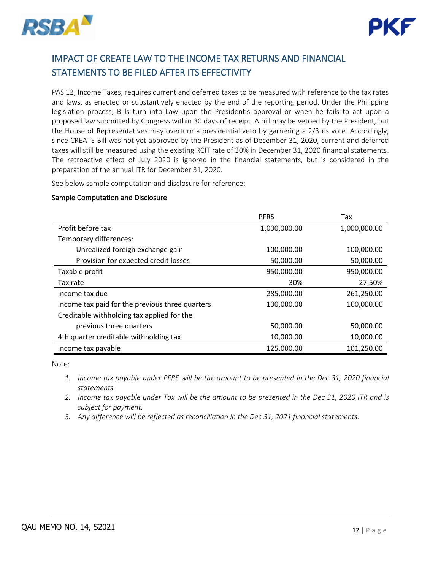



# IMPACT OF CREATE LAW TO THE INCOME TAX RETURNS AND FINANCIAL STATEMENTS TO BE FILED AFTER ITS EFFECTIVITY

PAS 12, Income Taxes, requires current and deferred taxes to be measured with reference to the tax rates and laws, as enacted or substantively enacted by the end of the reporting period. Under the Philippine legislation process, Bills turn into Law upon the President's approval or when he fails to act upon a proposed law submitted by Congress within 30 days of receipt. A bill may be vetoed by the President, but the House of Representatives may overturn a presidential veto by garnering a 2/3rds vote. Accordingly, since CREATE Bill was not yet approved by the President as of December 31, 2020, current and deferred taxes will still be measured using the existing RCIT rate of 30% in December 31, 2020 financial statements. The retroactive effect of July 2020 is ignored in the financial statements, but is considered in the preparation of the annual ITR for December 31, 2020.

See below sample computation and disclosure for reference:

#### Sample Computation and Disclosure

|                                                 | <b>PFRS</b>  | Tax          |
|-------------------------------------------------|--------------|--------------|
| Profit before tax                               | 1,000,000.00 | 1,000,000.00 |
| Temporary differences:                          |              |              |
| Unrealized foreign exchange gain                | 100,000.00   | 100,000.00   |
| Provision for expected credit losses            | 50,000.00    | 50,000.00    |
| Taxable profit                                  | 950,000.00   | 950,000.00   |
| Tax rate                                        | 30%          | 27.50%       |
| Income tax due                                  | 285,000.00   | 261,250.00   |
| Income tax paid for the previous three quarters | 100,000.00   | 100,000.00   |
| Creditable withholding tax applied for the      |              |              |
| previous three quarters                         | 50,000.00    | 50,000.00    |
| 4th quarter creditable withholding tax          | 10,000.00    | 10,000.00    |
| Income tax payable                              | 125,000.00   | 101,250.00   |

Note:

- *1. Income tax payable under PFRS will be the amount to be presented in the Dec 31, 2020 financial statements.*
- *2. Income tax payable under Tax will be the amount to be presented in the Dec 31, 2020 ITR and is subject for payment.*
- *3. Any difference will be reflected as reconciliation in the Dec 31, 2021 financial statements.*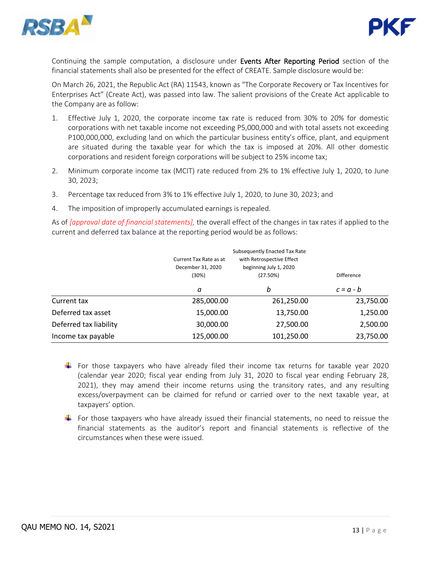



Continuing the sample computation, a disclosure under Events After Reporting Period section of the financial statements shall also be presented for the effect of CREATE. Sample disclosure would be:

On March 26, 2021, the Republic Act (RA) 11543, known as "The Corporate Recovery or Tax Incentives for Enterprises Act" (Create Act), was passed into law. The salient provisions of the Create Act applicable to the Company are as follow:

- 1. Effective July 1, 2020, the corporate income tax rate is reduced from 30% to 20% for domestic corporations with net taxable income not exceeding P5,000,000 and with total assets not exceeding P100,000,000, excluding land on which the particular business entity's office, plant, and equipment are situated during the taxable year for which the tax is imposed at 20%. All other domestic corporations and resident foreign corporations will be subject to 25% income tax;
- 2. Minimum corporate income tax (MCIT) rate reduced from 2% to 1% effective July 1, 2020, to June 30, 2023;
- 3. Percentage tax reduced from 3% to 1% effective July 1, 2020, to June 30, 2023; and
- 4. The imposition of improperly accumulated earnings is repealed.

As of *[approval date of financial statements],* the overall effect of the changes in tax rates if applied to the current and deferred tax balance at the reporting period would be as follows:

|                        | Subsequently Enacted Tax Rate |                           |                   |  |
|------------------------|-------------------------------|---------------------------|-------------------|--|
|                        | Current Tax Rate as at        | with Retrospective Effect |                   |  |
|                        | December 31, 2020             | beginning July 1, 2020    |                   |  |
|                        | (30%)                         | (27.50%)                  | <b>Difference</b> |  |
|                        | а                             | b                         | $c = a - b$       |  |
| Current tax            | 285,000.00                    | 261,250.00                | 23,750.00         |  |
| Deferred tax asset     | 15,000.00                     | 13,750.00                 | 1,250.00          |  |
| Deferred tax liability | 30,000.00                     | 27,500.00                 | 2,500.00          |  |
| Income tax payable     | 125,000.00                    | 101,250.00                | 23,750.00         |  |

- For those taxpayers who have already filed their income tax returns for taxable year 2020 (calendar year 2020; fiscal year ending from July 31, 2020 to fiscal year ending February 28, 2021), they may amend their income returns using the transitory rates, and any resulting excess/overpayment can be claimed for refund or carried over to the next taxable year, at taxpayers' option.
- $\ddot{\phantom{1}}$  For those taxpayers who have already issued their financial statements, no need to reissue the financial statements as the auditor's report and financial statements is reflective of the circumstances when these were issued.